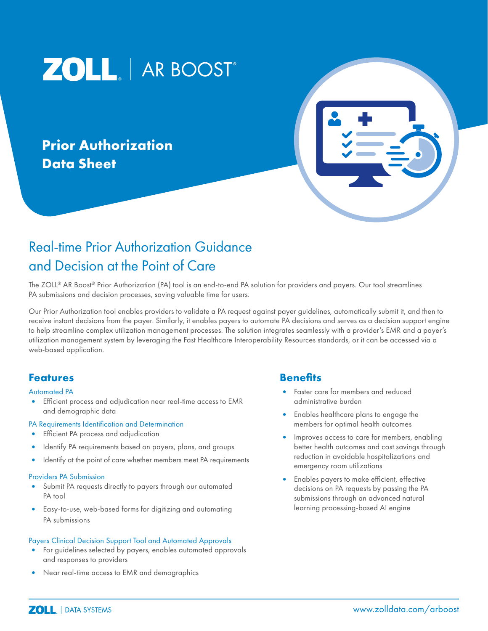

## **Prior Authorization Data Sheet**

## Real-time Prior Authorization Guidance and Decision at the Point of Care

The ZOLL<sup>®</sup> AR Boost<sup>®</sup> Prior Authorization (PA) tool is an end-to-end PA solution for providers and payers. Our tool streamlines PA submissions and decision processes, saving valuable time for users.

Our Prior Authorization tool enables providers to validate a PA request against payer guidelines, automatically submit it, and then to receive instant decisions from the payer. Similarly, it enables payers to automate PA decisions and serves as a decision support engine to help streamline complex utilization management processes. The solution integrates seamlessly with a provider's EMR and a payer's utilization management system by leveraging the Fast Healthcare Interoperability Resources standards, or it can be accessed via a web-based application.

### **Features**

#### Automated PA

• Efficient process and adjudication near real-time access to EMR and demographic data

#### PA Requirements Identification and Determination

- **Efficient PA process and adjudication**
- Identify PA requirements based on payers, plans, and groups
- Identify at the point of care whether members meet PA requirements

#### Providers PA Submission

- Submit PA requests directly to payers through our automated PA tool
- Easy-to-use, web-based forms for digitizing and automating PA submissions

#### Payers Clinical Decision Support Tool and Automated Approvals

- For guidelines selected by payers, enables automated approvals and responses to providers
- Near real-time access to EMR and demographics

### **Benefits**

- Faster care for members and reduced administrative burden
- Enables healthcare plans to engage the members for optimal health outcomes
- Improves access to care for members, enabling better health outcomes and cost savings through reduction in avoidable hospitalizations and emergency room utilizations
- Enables payers to make efficient, effective decisions on PA requests by passing the PA submissions through an advanced natural learning processing-based AI engine